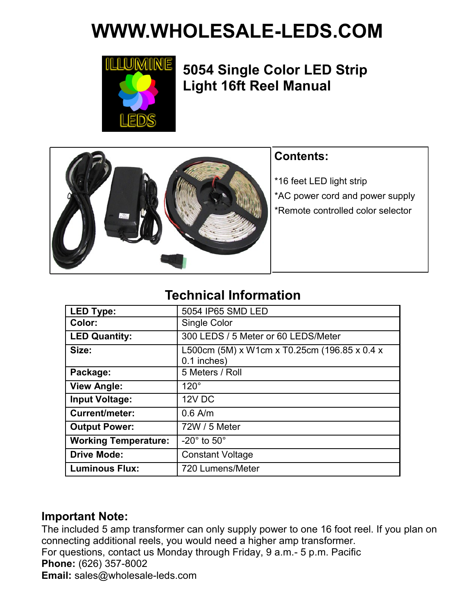# **WWW.WHOLESALE-LEDS.COM**



# **5054 Single Color LED Strip Light 16ft Reel Manual**



## **Contents:**

\*16 feet LED light strip \*AC power cord and power supply

\*Remote controlled color selector

# **Technical Information**

| <b>LED Type:</b>            | 5054 IP65 SMD LED                                           |
|-----------------------------|-------------------------------------------------------------|
| Color:                      | Single Color                                                |
| <b>LED Quantity:</b>        | 300 LEDS / 5 Meter or 60 LEDS/Meter                         |
| Size:                       | L500cm (5M) x W1cm x T0.25cm (196.85 x 0.4 x<br>0.1 inches) |
| Package:                    | 5 Meters / Roll                                             |
| <b>View Angle:</b>          | $120^\circ$                                                 |
| <b>Input Voltage:</b>       | 12V DC                                                      |
| <b>Current/meter:</b>       | $0.6$ A/m                                                   |
| <b>Output Power:</b>        | 72W / 5 Meter                                               |
| <b>Working Temperature:</b> | $-20^\circ$ to $50^\circ$                                   |
| <b>Drive Mode:</b>          | <b>Constant Voltage</b>                                     |
| <b>Luminous Flux:</b>       | 720 Lumens/Meter                                            |

### **Important Note:**

The included 5 amp transformer can only supply power to one 16 foot reel. If you plan on connecting additional reels, you would need a higher amp transformer. For questions, contact us Monday through Friday, 9 a.m.- 5 p.m. Pacific **Phone:** (626) 357-8002 **Email:** sales@wholesale-leds.com